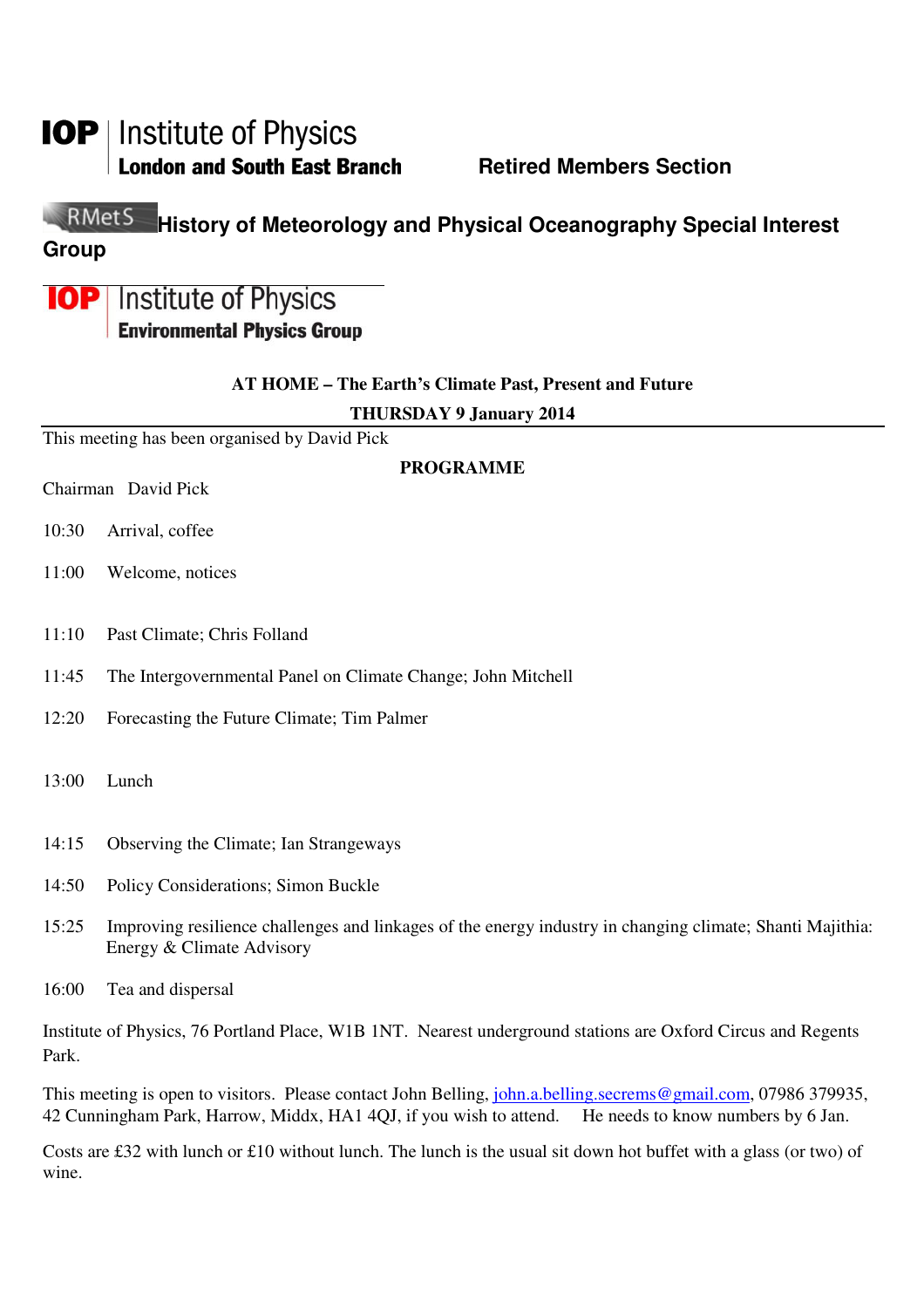# **IOP** | Institute of Physics

**London and South East Branch Fig. 2.1 Retired Members Section** 

#### RMetS **History of Meteorology and Physical Oceanography Special Interest Group**

## **IOP** Institute of Physics **Environmental Physics Group**

### **AT HOME – The Earth's Climate Past, Present and Future**

**THURSDAY 9 January 2014** 

This meeting has been organised by David Pick

### **PROGRAMME**

Chairman David Pick

- 10:30 Arrival, coffee
- 11:00 Welcome, notices
- 11:10 Past Climate; Chris Folland
- 11:45 The Intergovernmental Panel on Climate Change; John Mitchell
- 12:20 Forecasting the Future Climate; Tim Palmer
- 13:00 Lunch
- 14:15 Observing the Climate; Ian Strangeways
- 14:50 Policy Considerations; Simon Buckle
- 15:25 Improving resilience challenges and linkages of the energy industry in changing climate; Shanti Majithia: Energy & Climate Advisory
- 16:00 Tea and dispersal

Institute of Physics, 76 Portland Place, W1B 1NT. Nearest underground stations are Oxford Circus and Regents Park.

This meeting is open to visitors. Please contact John Belling, john.a.belling.secrems@gmail.com, 07986 379935, 42 Cunningham Park, Harrow, Middx, HA1 4QJ, if you wish to attend. He needs to know numbers by 6 Jan.

Costs are £32 with lunch or £10 without lunch. The lunch is the usual sit down hot buffet with a glass (or two) of wine.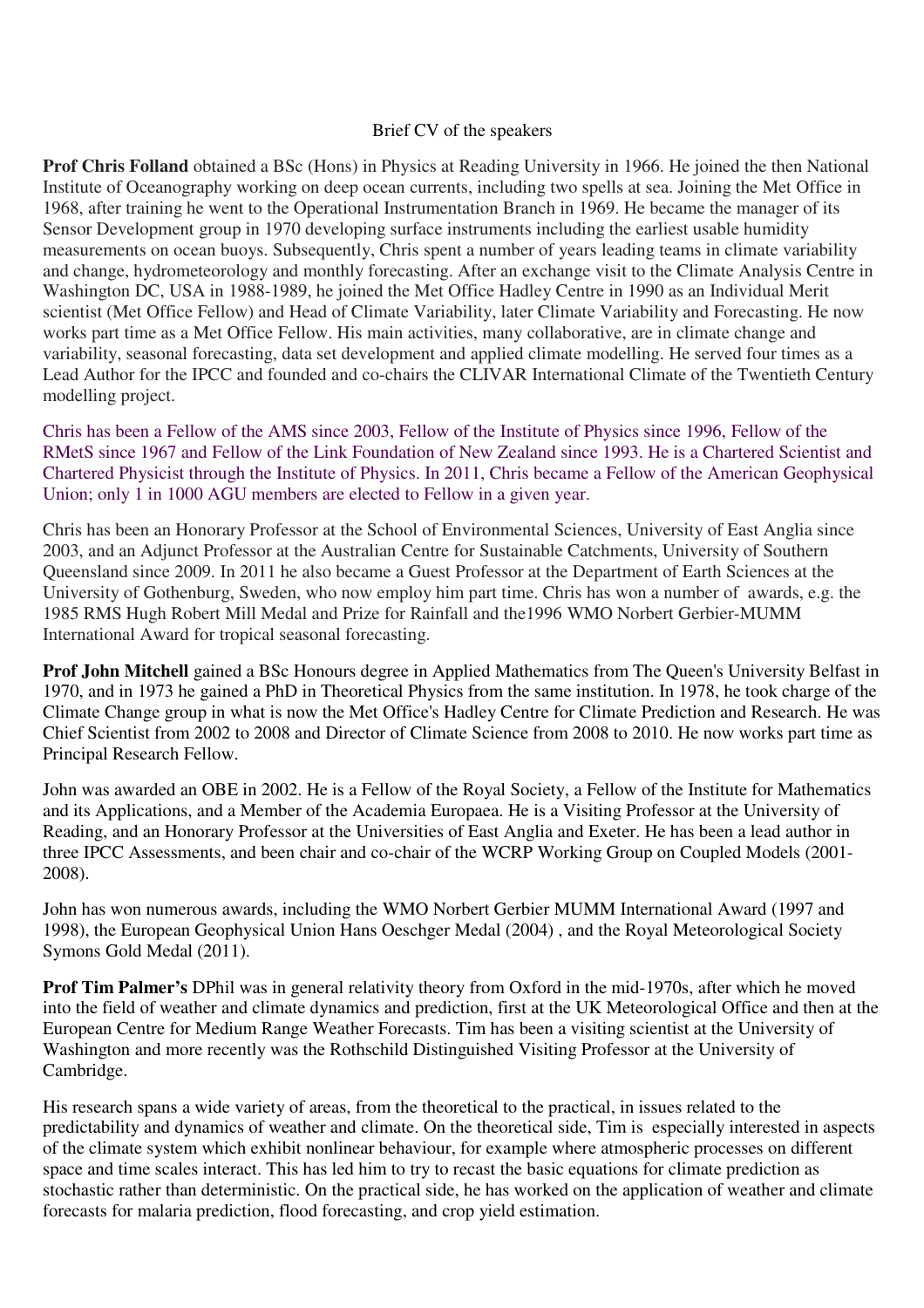### Brief CV of the speakers

**Prof Chris Folland** obtained a BSc (Hons) in Physics at Reading University in 1966. He joined the then National Institute of Oceanography working on deep ocean currents, including two spells at sea. Joining the Met Office in 1968, after training he went to the Operational Instrumentation Branch in 1969. He became the manager of its Sensor Development group in 1970 developing surface instruments including the earliest usable humidity measurements on ocean buoys. Subsequently, Chris spent a number of years leading teams in climate variability and change, hydrometeorology and monthly forecasting. After an exchange visit to the Climate Analysis Centre in Washington DC, USA in 1988-1989, he joined the Met Office Hadley Centre in 1990 as an Individual Merit scientist (Met Office Fellow) and Head of Climate Variability, later Climate Variability and Forecasting. He now works part time as a Met Office Fellow. His main activities, many collaborative, are in climate change and variability, seasonal forecasting, data set development and applied climate modelling. He served four times as a Lead Author for the IPCC and founded and co-chairs the CLIVAR International Climate of the Twentieth Century modelling project.

Chris has been a Fellow of the AMS since 2003, Fellow of the Institute of Physics since 1996, Fellow of the RMetS since 1967 and Fellow of the Link Foundation of New Zealand since 1993. He is a Chartered Scientist and Chartered Physicist through the Institute of Physics. In 2011, Chris became a Fellow of the American Geophysical Union; only 1 in 1000 AGU members are elected to Fellow in a given year.

Chris has been an Honorary Professor at the School of Environmental Sciences, University of East Anglia since 2003, and an Adjunct Professor at the Australian Centre for Sustainable Catchments, University of Southern Queensland since 2009. In 2011 he also became a Guest Professor at the Department of Earth Sciences at the University of Gothenburg, Sweden, who now employ him part time. Chris has won a number of awards, e.g. the 1985 RMS Hugh Robert Mill Medal and Prize for Rainfall and the1996 WMO Norbert Gerbier-MUMM International Award for tropical seasonal forecasting.

**Prof John Mitchell** gained a BSc Honours degree in Applied Mathematics from The Queen's University Belfast in 1970, and in 1973 he gained a PhD in Theoretical Physics from the same institution. In 1978, he took charge of the Climate Change group in what is now the Met Office's Hadley Centre for Climate Prediction and Research. He was Chief Scientist from 2002 to 2008 and Director of Climate Science from 2008 to 2010. He now works part time as Principal Research Fellow.

John was awarded an OBE in 2002. He is a Fellow of the Royal Society, a Fellow of the Institute for Mathematics and its Applications, and a Member of the Academia Europaea. He is a Visiting Professor at the University of Reading, and an Honorary Professor at the Universities of East Anglia and Exeter. He has been a lead author in three IPCC Assessments, and been chair and co-chair of the WCRP Working Group on Coupled Models (2001- 2008).

John has won numerous awards, including the WMO Norbert Gerbier MUMM International Award (1997 and 1998), the European Geophysical Union Hans Oeschger Medal (2004) , and the Royal Meteorological Society Symons Gold Medal (2011).

**Prof Tim Palmer's** DPhil was in general relativity theory from Oxford in the mid-1970s, after which he moved into the field of weather and climate dynamics and prediction, first at the UK Meteorological Office and then at the European Centre for Medium Range Weather Forecasts. Tim has been a visiting scientist at the University of Washington and more recently was the Rothschild Distinguished Visiting Professor at the University of Cambridge.

His research spans a wide variety of areas, from the theoretical to the practical, in issues related to the predictability and dynamics of weather and climate. On the theoretical side, Tim is especially interested in aspects of the climate system which exhibit nonlinear behaviour, for example where atmospheric processes on different space and time scales interact. This has led him to try to recast the basic equations for climate prediction as stochastic rather than deterministic. On the practical side, he has worked on the application of weather and climate forecasts for malaria prediction, flood forecasting, and crop yield estimation.